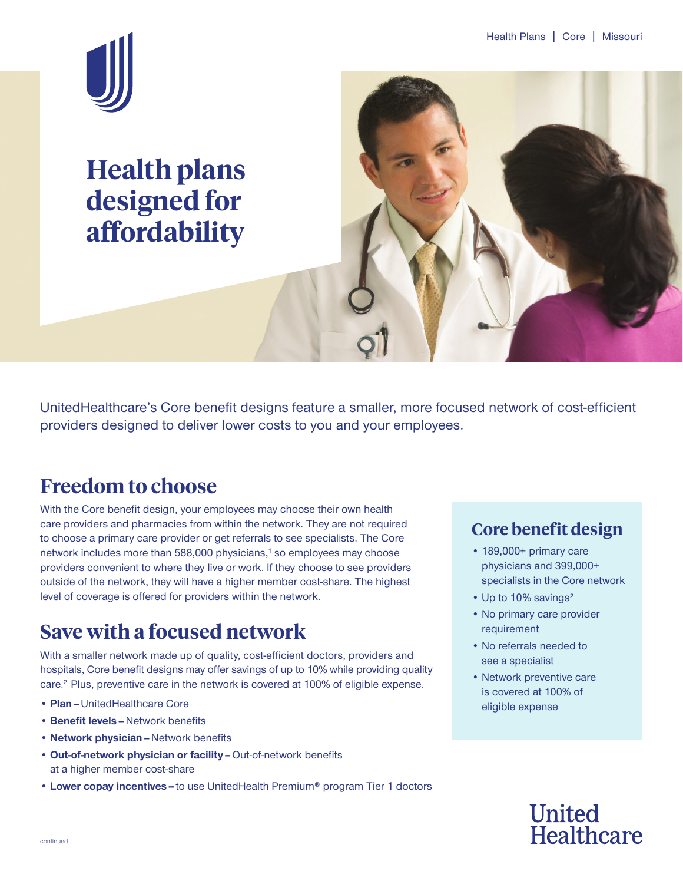

**Health plans designed for affordability**



UnitedHealthcare's Core benefit designs feature a smaller, more focused network of cost-efficient providers designed to deliver lower costs to you and your employees.

### **Freedom to choose**

With the Core benefit design, your employees may choose their own health care providers and pharmacies from within the network. They are not required to choose a primary care provider or get referrals to see specialists. The Core network includes more than 588,000 physicians,<sup>1</sup> so employees may choose providers convenient to where they live or work. If they choose to see providers outside of the network, they will have a higher member cost-share. The highest level of coverage is offered for providers within the network.

### **Save with a focused network**

With a smaller network made up of quality, cost-efficient doctors, providers and hospitals, Core benefit designs may offer savings of up to 10% while providing quality care.<sup>2</sup> Plus, preventive care in the network is covered at 100% of eligible expense.

- **Plan–**UnitedHealthcare Core
- **Benefit levels–**Network benefits
- **Network physician–**Network benefits
- **Out-of-network physician or facility–**Out-of-network benefits at a higher member cost-share
- **Lower copay incentives–**to use UnitedHealth Premium® program Tier 1 doctors

### **Core benefit design**

- 189,000+ primary care physicians and 399,000+ specialists in the Core network
- Up to 10% savings²
- No primary care provider requirement
- No referrals needed to see a specialist
- Network preventive care is covered at 100% of eligible expense

# **United Healthcare**